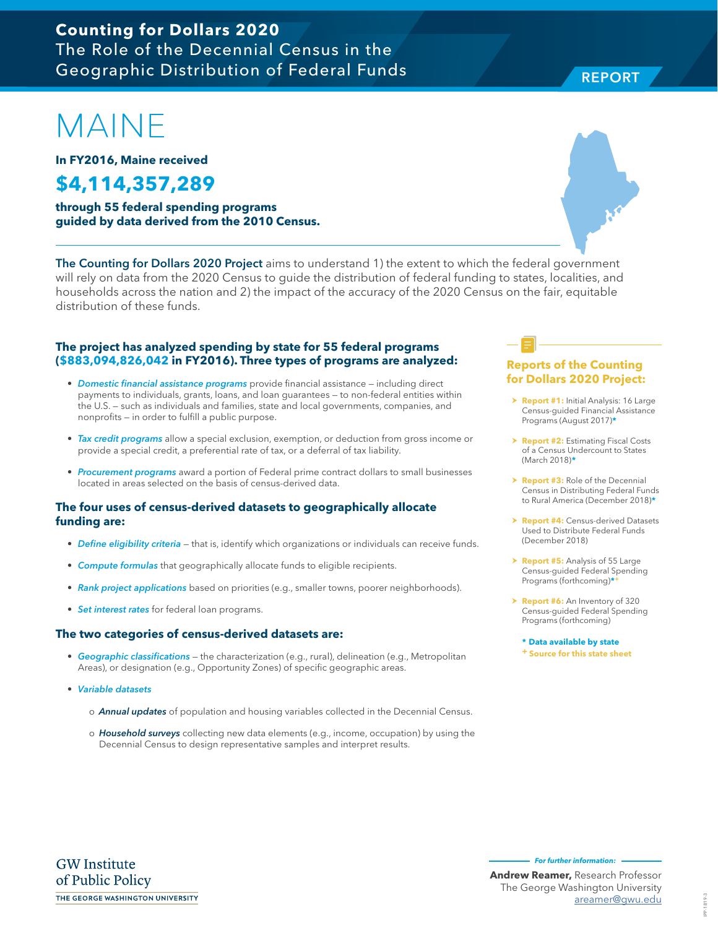### **Counting for Dollars 2020**  The Role of the Decennial Census in the Geographic Distribution of Federal Funds

# MAINE

**In FY2016, Maine received**

# **\$4,114,357,289**

**through 55 federal spending programs guided by data derived from the 2010 Census.**

The Counting for Dollars 2020 Project aims to understand 1) the extent to which the federal government will rely on data from the 2020 Census to guide the distribution of federal funding to states, localities, and households across the nation and 2) the impact of the accuracy of the 2020 Census on the fair, equitable distribution of these funds.

#### **The project has analyzed spending by state for 55 federal programs (\$883,094,826,042 in FY2016). Three types of programs are analyzed:**

- Domestic financial assistance programs provide financial assistance including direct payments to individuals, grants, loans, and loan guarantees — to non-federal entities within the U.S. — such as individuals and families, state and local governments, companies, and nonprofits — in order to fulfill a public purpose.
- Tax credit programs allow a special exclusion, exemption, or deduction from gross income or provide a special credit, a preferential rate of tax, or a deferral of tax liability.
- Procurement programs award a portion of Federal prime contract dollars to small businesses located in areas selected on the basis of census-derived data.

#### **The four uses of census-derived datasets to geographically allocate funding are:**

- Define eligibility criteria that is, identify which organizations or individuals can receive funds.
- Compute formulas that geographically allocate funds to eligible recipients.
- Rank project applications based on priorities (e.g., smaller towns, poorer neighborhoods).
- Set interest rates for federal loan programs.

#### **The two categories of census-derived datasets are:**

- Geographic classifications the characterization (e.g., rural), delineation (e.g., Metropolitan Areas), or designation (e.g., Opportunity Zones) of specific geographic areas.
- Variable datasets
	- o **Annual updates** of population and housing variables collected in the Decennial Census.
	- o Household surveys collecting new data elements (e.g., income, occupation) by using the Decennial Census to design representative samples and interpret results.

#### **Reports of the Counting for Dollars 2020 Project:**

- **> Report #1:** Initial Analysis: 16 Large Census-guided Financial Assistance Programs (August 2017)**\***
- **h Report #2: Estimating Fiscal Costs** of a Census Undercount to States (March 2018)**\***
- **Report #3:** Role of the Decennial Census in Distributing Federal Funds to Rural America (December 2018)**\***
- **Report #4: Census-derived Datasets** Used to Distribute Federal Funds (December 2018)
- > **Report #5:** Analysis of 55 Large Census-guided Federal Spending Programs (forthcoming)**\*+**
- > **Report #6:** An Inventory of 320 Census-guided Federal Spending Programs (forthcoming)

**\* Data available by state + Source for this state sheet**

**For further information:** 



REPORT

**REPORT** 

**Andrew Reamer,** Research Professor The George Washington University areamer@gwu.edu